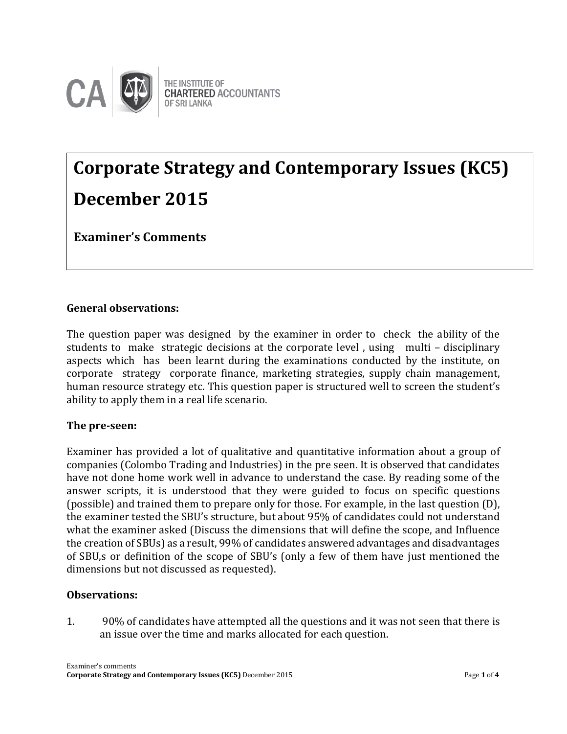

# **Corporate Strategy and Contemporary Issues (KC5) December 2015**

**Examiner's Comments**

## **General observations:**

The question paper was designed by the examiner in order to check the ability of the students to make strategic decisions at the corporate level , using multi – disciplinary aspects which has been learnt during the examinations conducted by the institute, on corporate strategy corporate finance, marketing strategies, supply chain management, human resource strategy etc. This question paper is structured well to screen the student's ability to apply them in a real life scenario.

## **The pre-seen:**

Examiner has provided a lot of qualitative and quantitative information about a group of companies (Colombo Trading and Industries) in the pre seen. It is observed that candidates have not done home work well in advance to understand the case. By reading some of the answer scripts, it is understood that they were guided to focus on specific questions (possible) and trained them to prepare only for those. For example, in the last question (D), the examiner tested the SBU's structure, but about 95% of candidates could not understand what the examiner asked (Discuss the dimensions that will define the scope, and Influence the creation of SBUs) as a result, 99% of candidates answered advantages and disadvantages of SBU,s or definition of the scope of SBU's (only a few of them have just mentioned the dimensions but not discussed as requested).

## **Observations:**

1. 90% of candidates have attempted all the questions and it was not seen that there is an issue over the time and marks allocated for each question.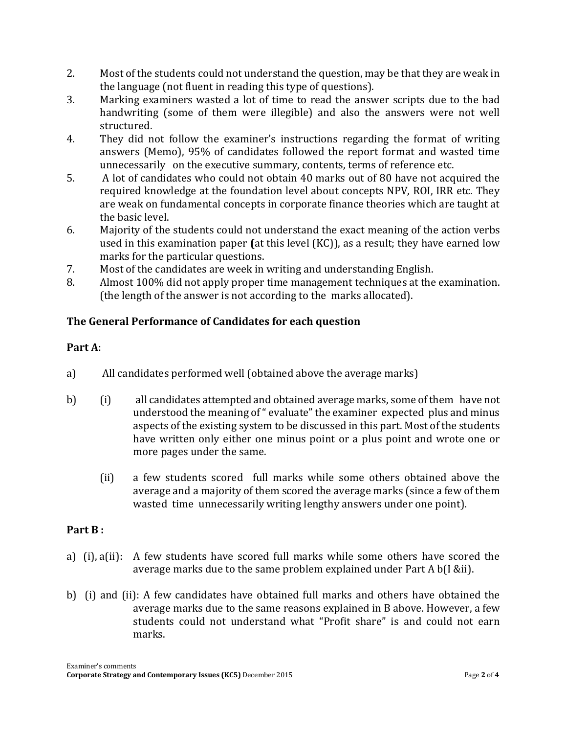- 2. Most of the students could not understand the question, may be that they are weak in the language (not fluent in reading this type of questions).
- 3. Marking examiners wasted a lot of time to read the answer scripts due to the bad handwriting (some of them were illegible) and also the answers were not well structured.
- 4. They did not follow the examiner's instructions regarding the format of writing answers (Memo), 95% of candidates followed the report format and wasted time unnecessarily on the executive summary, contents, terms of reference etc.
- 5. A lot of candidates who could not obtain 40 marks out of 80 have not acquired the required knowledge at the foundation level about concepts NPV, ROI, IRR etc. They are weak on fundamental concepts in corporate finance theories which are taught at the basic level.
- 6. Majority of the students could not understand the exact meaning of the action verbs used in this examination paper **(**at this level (KC)), as a result; they have earned low marks for the particular questions.
- 7. Most of the candidates are week in writing and understanding English.
- 8. Almost 100% did not apply proper time management techniques at the examination. (the length of the answer is not according to the marks allocated).

# **The General Performance of Candidates for each question**

## **Part A**:

- a) All candidates performed well (obtained above the average marks)
- b) (i) all candidates attempted and obtained average marks, some of them have not understood the meaning of " evaluate" the examiner expected plus and minus aspects of the existing system to be discussed in this part. Most of the students have written only either one minus point or a plus point and wrote one or more pages under the same.
	- (ii) a few students scored full marks while some others obtained above the average and a majority of them scored the average marks (since a few of them wasted time unnecessarily writing lengthy answers under one point).

## **Part B :**

- a) (i), a(ii): A few students have scored full marks while some others have scored the average marks due to the same problem explained under Part A b(I &ii).
- b) (i) and (ii): A few candidates have obtained full marks and others have obtained the average marks due to the same reasons explained in B above. However, a few students could not understand what "Profit share" is and could not earn marks.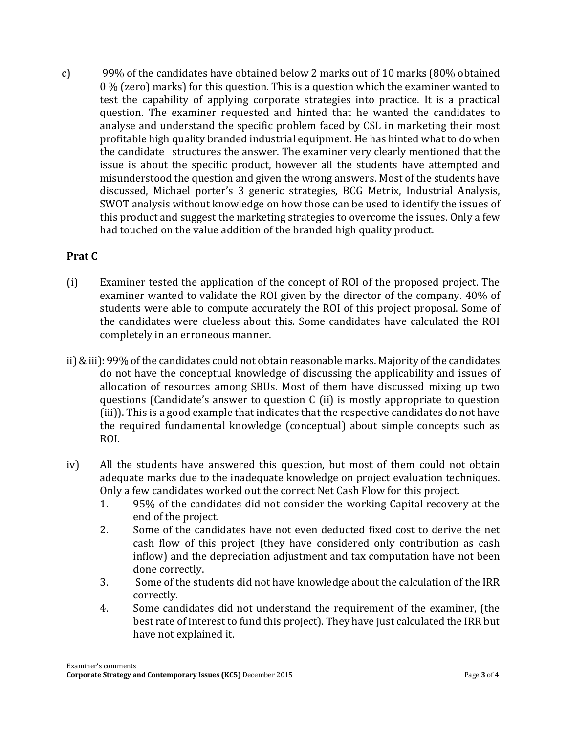c) 99% of the candidates have obtained below 2 marks out of 10 marks (80% obtained 0 % (zero) marks) for this question. This is a question which the examiner wanted to test the capability of applying corporate strategies into practice. It is a practical question. The examiner requested and hinted that he wanted the candidates to analyse and understand the specific problem faced by CSL in marketing their most profitable high quality branded industrial equipment. He has hinted what to do when the candidate structures the answer. The examiner very clearly mentioned that the issue is about the specific product, however all the students have attempted and misunderstood the question and given the wrong answers. Most of the students have discussed, Michael porter's 3 generic strategies, BCG Metrix, Industrial Analysis, SWOT analysis without knowledge on how those can be used to identify the issues of this product and suggest the marketing strategies to overcome the issues. Only a few had touched on the value addition of the branded high quality product.

#### **Prat C**

- (i) Examiner tested the application of the concept of ROI of the proposed project. The examiner wanted to validate the ROI given by the director of the company. 40% of students were able to compute accurately the ROI of this project proposal. Some of the candidates were clueless about this. Some candidates have calculated the ROI completely in an erroneous manner.
- ii) & iii): 99% of the candidates could not obtain reasonable marks. Majority of the candidates do not have the conceptual knowledge of discussing the applicability and issues of allocation of resources among SBUs. Most of them have discussed mixing up two questions (Candidate's answer to question C (ii) is mostly appropriate to question (iii)). This is a good example that indicates that the respective candidates do not have the required fundamental knowledge (conceptual) about simple concepts such as ROI.
- iv) All the students have answered this question, but most of them could not obtain adequate marks due to the inadequate knowledge on project evaluation techniques. Only a few candidates worked out the correct Net Cash Flow for this project.
	- 1. 95% of the candidates did not consider the working Capital recovery at the end of the project.
	- 2. Some of the candidates have not even deducted fixed cost to derive the net cash flow of this project (they have considered only contribution as cash inflow) and the depreciation adjustment and tax computation have not been done correctly.
	- 3. Some of the students did not have knowledge about the calculation of the IRR correctly.
	- 4. Some candidates did not understand the requirement of the examiner, (the best rate of interest to fund this project). They have just calculated the IRR but have not explained it.